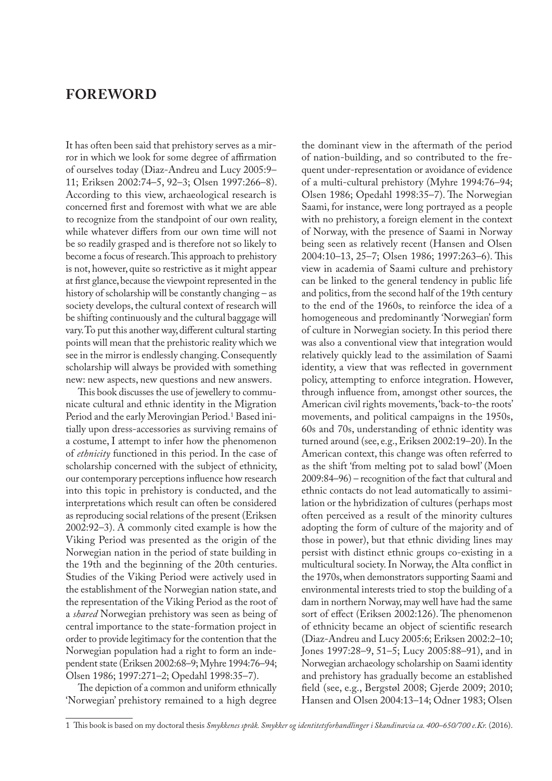## **FOREWORD**

It has often been said that prehistory serves as a mirror in which we look for some degree of affirmation of ourselves today (Diaz-Andreu and Lucy 2005:9– 11; Eriksen 2002:74–5, 92–3; Olsen 1997:266–8). According to this view, archaeological research is concerned first and foremost with what we are able to recognize from the standpoint of our own reality, while whatever differs from our own time will not be so readily grasped and is therefore not so likely to become a focus of research. This approach to prehistory is not, however, quite so restrictive as it might appear at first glance, because the viewpoint represented in the history of scholarship will be constantly changing – as society develops, the cultural context of research will be shifting continuously and the cultural baggage will vary. To put this another way, different cultural starting points will mean that the prehistoric reality which we see in the mirror is endlessly changing. Consequently scholarship will always be provided with something new: new aspects, new questions and new answers.

This book discusses the use of jewellery to communicate cultural and ethnic identity in the Migration Period and the early Merovingian Period.<sup>1</sup> Based initially upon dress-accessories as surviving remains of a costume, I attempt to infer how the phenomenon of *ethnicity* functioned in this period. In the case of scholarship concerned with the subject of ethnicity, our contemporary perceptions influence how research into this topic in prehistory is conducted, and the interpretations which result can often be considered as reproducing social relations of the present (Eriksen 2002:92–3). A commonly cited example is how the Viking Period was presented as the origin of the Norwegian nation in the period of state building in the 19th and the beginning of the 20th centuries. Studies of the Viking Period were actively used in the establishment of the Norwegian nation state, and the representation of the Viking Period as the root of a *shared* Norwegian prehistory was seen as being of central importance to the state-formation project in order to provide legitimacy for the contention that the Norwegian population had a right to form an independent state (Eriksen 2002:68–9; Myhre 1994:76–94; Olsen 1986; 1997:271–2; Opedahl 1998:35–7).

The depiction of a common and uniform ethnically 'Norwegian' prehistory remained to a high degree

the dominant view in the aftermath of the period of nation-building, and so contributed to the frequent under-representation or avoidance of evidence of a multi-cultural prehistory (Myhre 1994:76–94; Olsen 1986; Opedahl 1998:35–7). The Norwegian Saami, for instance, were long portrayed as a people with no prehistory, a foreign element in the context of Norway, with the presence of Saami in Norway being seen as relatively recent (Hansen and Olsen 2004:10–13, 25–7; Olsen 1986; 1997:263–6). This view in academia of Saami culture and prehistory can be linked to the general tendency in public life and politics, from the second half of the 19th century to the end of the 1960s, to reinforce the idea of a homogeneous and predominantly 'Norwegian' form of culture in Norwegian society. In this period there was also a conventional view that integration would relatively quickly lead to the assimilation of Saami identity, a view that was reflected in government policy, attempting to enforce integration. However, through influence from, amongst other sources, the American civil rights movements, 'back-to-the roots' movements, and political campaigns in the 1950s, 60s and 70s, understanding of ethnic identity was turned around (see, e.g., Eriksen 2002:19–20). In the American context, this change was often referred to as the shift 'from melting pot to salad bowl' (Moen 2009:84–96) – recognition of the fact that cultural and ethnic contacts do not lead automatically to assimilation or the hybridization of cultures (perhaps most often perceived as a result of the minority cultures adopting the form of culture of the majority and of those in power), but that ethnic dividing lines may persist with distinct ethnic groups co-existing in a multicultural society. In Norway, the Alta conflict in the 1970s, when demonstrators supporting Saami and environmental interests tried to stop the building of a dam in northern Norway, may well have had the same sort of effect (Eriksen 2002:126). The phenomenon of ethnicity became an object of scientific research (Diaz-Andreu and Lucy 2005:6; Eriksen 2002:2–10; Jones 1997:28–9, 51–5; Lucy 2005:88–91), and in Norwegian archaeology scholarship on Saami identity and prehistory has gradually become an established field (see, e.g., Bergstøl 2008; Gjerde 2009; 2010; Hansen and Olsen 2004:13–14; Odner 1983; Olsen

<sup>1</sup> This book is based on my doctoral thesis *Smykkenes språk. Smykker og identitetsforhandlinger i Skandinavia ca. 400–650/700 e.Kr.* (2016).